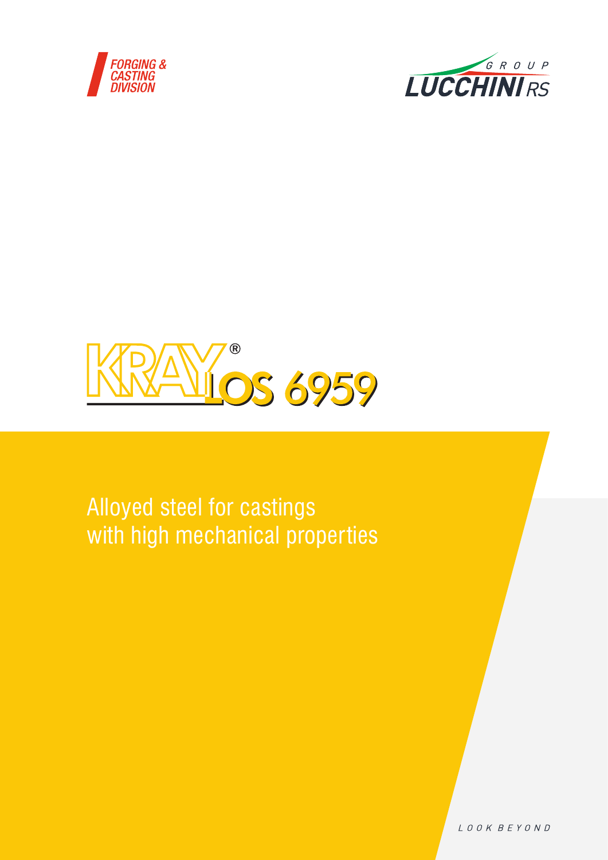





# Alloyed steel for castings with high mechanical properties

LOOK BEYOND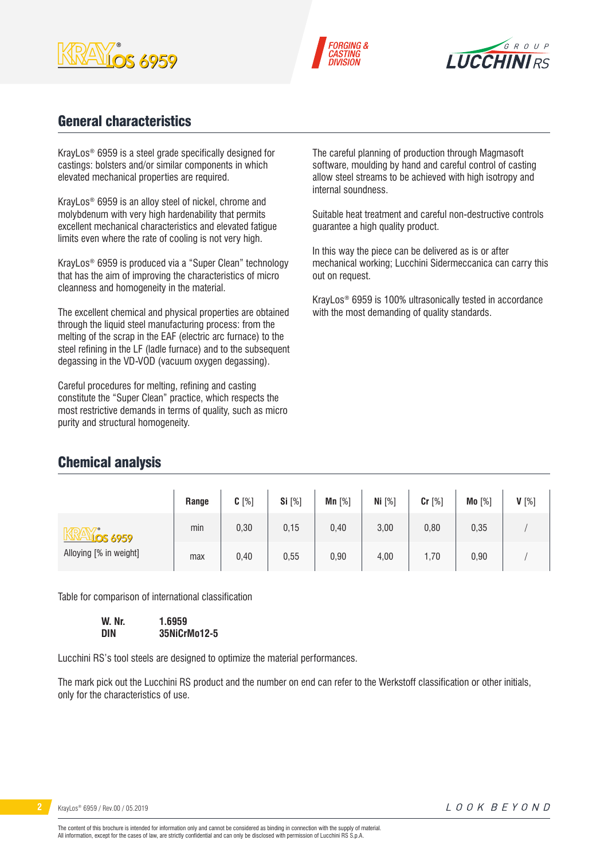





# General characteristics

KrayLos® 6959 is a steel grade specifically designed for castings: bolsters and/or similar components in which elevated mechanical properties are required.

KrayLos® 6959 is an alloy steel of nickel, chrome and molybdenum with very high hardenability that permits excellent mechanical characteristics and elevated fatigue limits even where the rate of cooling is not very high.

KrayLos® 6959 is produced via a "Super Clean" technology that has the aim of improving the characteristics of micro cleanness and homogeneity in the material.

The excellent chemical and physical properties are obtained through the liquid steel manufacturing process: from the melting of the scrap in the EAF (electric arc furnace) to the steel refining in the LF (ladle furnace) and to the subsequent degassing in the VD-VOD (vacuum oxygen degassing).

Careful procedures for melting, refining and casting constitute the "Super Clean" practice, which respects the most restrictive demands in terms of quality, such as micro purity and structural homogeneity.

The careful planning of production through Magmasoft software, moulding by hand and careful control of casting allow steel streams to be achieved with high isotropy and internal soundness.

Suitable heat treatment and careful non-destructive controls guarantee a high quality product.

In this way the piece can be delivered as is or after mechanical working; Lucchini Sidermeccanica can carry this out on request.

KrayLos® 6959 is 100% ultrasonically tested in accordance with the most demanding of quality standards.

|                                            | Range | $C[\%]$ | Si [%] | Mn $[%]$ | Ni [%] | $Cr$ [%] | Mo [%] | $V[\%]$ |
|--------------------------------------------|-------|---------|--------|----------|--------|----------|--------|---------|
| <u>Vios 6959</u><br>Alloying [% in weight] | min   | 0,30    | 0,15   | 0,40     | 3,00   | 0,80     | 0,35   |         |
|                                            | max   | 0,40    | 0,55   | 0,90     | 4,00   | 1,70     | 0,90   |         |

Table for comparison of international classification

| W. Nr. | 1.6959       |
|--------|--------------|
| DIN    | 35NiCrMo12-5 |

Lucchini RS's tool steels are designed to optimize the material performances.

The mark pick out the Lucchini RS product and the number on end can refer to the Werkstoff classification or other initials, only for the characteristics of use.

Chemical analysis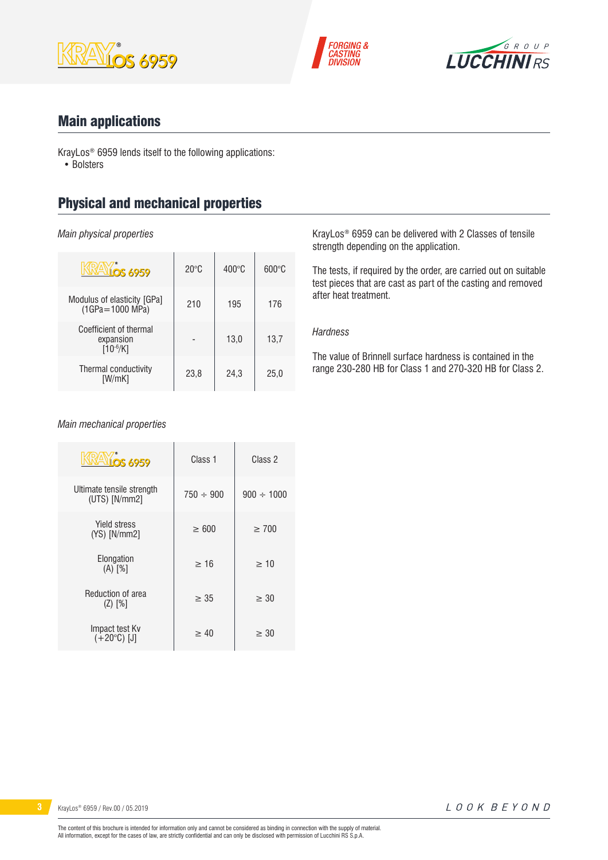





## Main applications

KrayLos® 6959 lends itself to the following applications: • Bolsters

# Physical and mechanical properties

*Main physical properties*

| <b>LOS 6959</b>                                      | $20^{\circ}$ C | $400^{\circ}$ C | $600\degree$ C |
|------------------------------------------------------|----------------|-----------------|----------------|
| Modulus of elasticity [GPa]<br>$(1GPa = 1000 MPa)$   | 210            | 195             | 176            |
| Coefficient of thermal<br>expansion<br>$[10^{-6}/K]$ |                | 13.0            | 13,7           |
| Thermal conductivity<br>[W/mK]                       | 23,8           | 24,3            | 25,0           |

KrayLos® 6959 can be delivered with 2 Classes of tensile strength depending on the application.

The tests, if required by the order, are carried out on suitable test pieces that are cast as part of the casting and removed after heat treatment.

### *Hardness*

The value of Brinnell surface hardness is contained in the range 230-280 HB for Class 1 and 270-320 HB for Class 2.

#### *Main mechanical properties*

| <b>VIOS 6959</b>                             | Class 1        | Class 2         |  |
|----------------------------------------------|----------------|-----------------|--|
| Ultimate tensile strength<br>$(UTS)$ [N/mm2] | $750 \div 900$ | $900 \div 1000$ |  |
| Yield stress<br>$(YS)$ [N/mm2]               | >600           | $\geq 700$      |  |
| Elongation<br>$(A)$ $[%]$                    | >16            | >10             |  |
| Reduction of area<br>$(Z)$ [%]               | $\geq 35$      | > 30            |  |
| Impact test Kv<br>$(+20^{\circ}C)$ [J]       | > 40           | $\geq 30$       |  |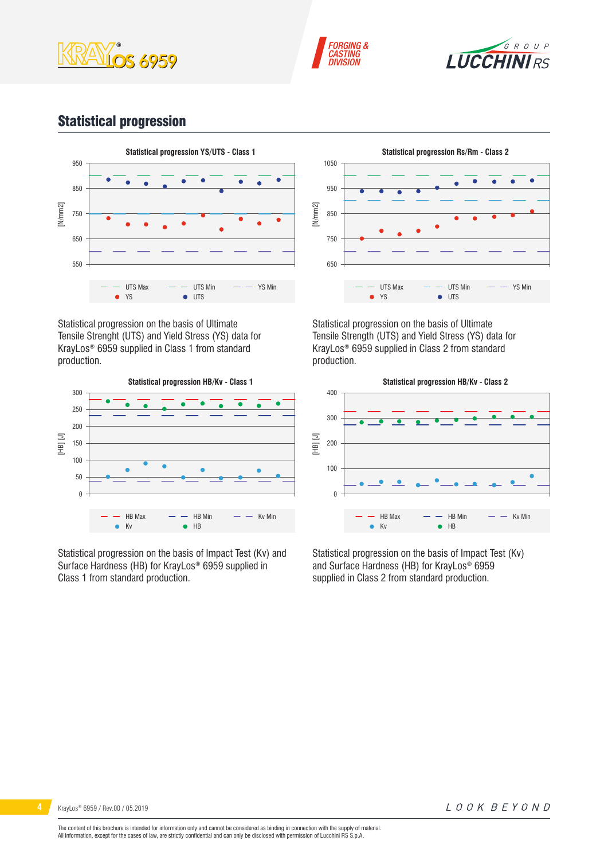





# Statistical progression



Statistical progression on the basis of Ultimate Tensile Strenght (UTS) and Yield Stress (YS) data for KrayLos® 6959 supplied in Class 1 from standard production.



Statistical progression on the basis of Impact Test (Kv) and Surface Hardness (HB) for KrayLos® 6959 supplied in Class 1 from standard production.



Statistical progression on the basis of Ultimate Tensile Strength (UTS) and Yield Stress (YS) data for KrayLos® 6959 supplied in Class 2 from standard production.



Statistical progression on the basis of Impact Test (Kv) and Surface Hardness (HB) for KrayLos® 6959 supplied in Class 2 from standard production.

LOOK BEYOND

The content of this brochure is intended for information only and cannot be considered as binding in connection with the supply of material. All information, except for the cases of law, are strictly confidential and can only be disclosed with permission of Lucchini RS S.p.A.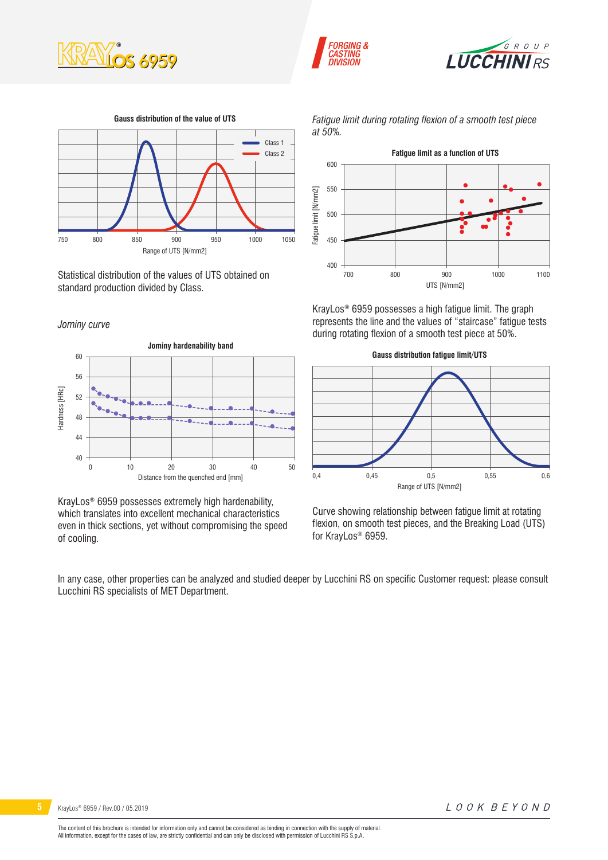





Range of UTS [N/mm2] **Gauss distribution of the value of UTS** 750 800 850 900 950 1000 1050 Class 1 Class 2

Statistical distribution of the values of UTS obtained on standard production divided by Class.

#### *Jominy curve*



KrayLos® 6959 possesses extremely high hardenability, which translates into excellent mechanical characteristics even in thick sections, yet without compromising the speed of cooling.

*Fatigue limit during rotating flexion of a smooth test piece at 50%.*



KrayLos® 6959 possesses a high fatigue limit. The graph represents the line and the values of "staircase" fatigue tests during rotating flexion of a smooth test piece at 50%.



Curve showing relationship between fatigue limit at rotating flexion, on smooth test pieces, and the Breaking Load (UTS) for KrayLos® 6959.

In any case, other properties can be analyzed and studied deeper by Lucchini RS on specific Customer request: please consult Lucchini RS specialists of MET Department.